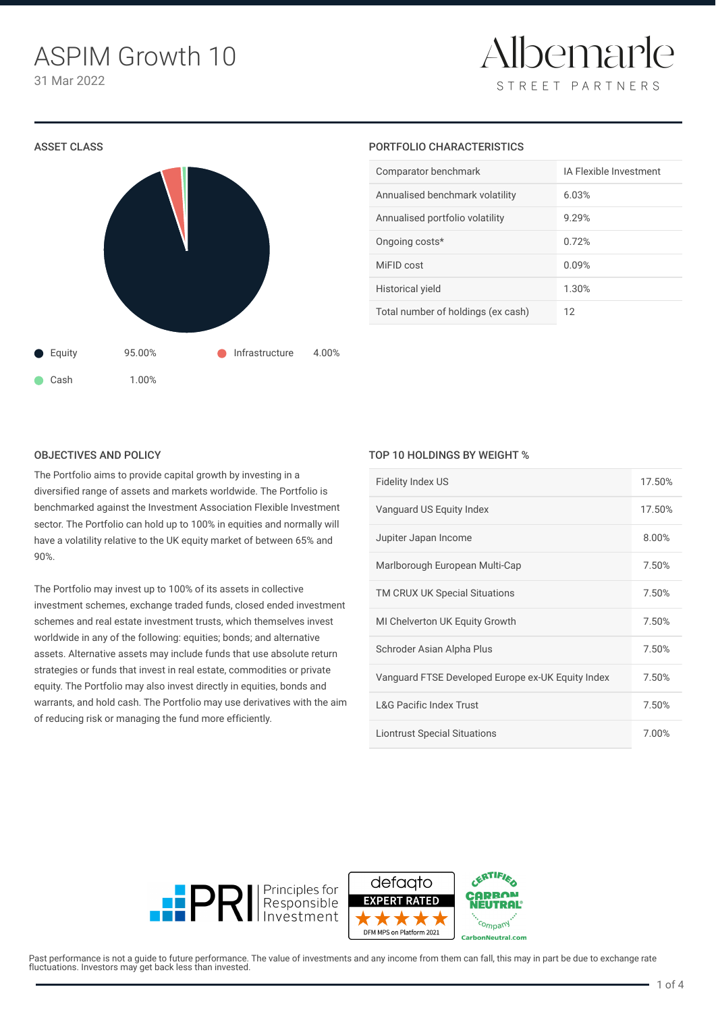Albemarle STREET PARTNERS



#### PORTFOLIO CHARACTERISTICS

| Comparator benchmark               | IA Flexible Investment |  |
|------------------------------------|------------------------|--|
| Annualised benchmark volatility    | 6.03%                  |  |
| Annualised portfolio volatility    | 9.29%                  |  |
| Ongoing costs*                     | 0.72%                  |  |
| MiFID cost                         | 0.09%                  |  |
| Historical yield                   | 1.30%                  |  |
| Total number of holdings (ex cash) | 12                     |  |

#### OBJECTIVES AND POLICY

The Portfolio aims to provide capital growth by investing in a diversified range of assets and markets worldwide. The Portfolio is benchmarked against the Investment Association Flexible Investment sector. The Portfolio can hold up to 100% in equities and normally will have a volatility relative to the UK equity market of between 65% and 90%.

The Portfolio may invest up to 100% of its assets in collective investment schemes, exchange traded funds, closed ended investment schemes and real estate investment trusts, which themselves invest worldwide in any of the following: equities; bonds; and alternative assets. Alternative assets may include funds that use absolute return strategies or funds that invest in real estate, commodities or private equity. The Portfolio may also invest directly in equities, bonds and warrants, and hold cash. The Portfolio may use derivatives with the aim of reducing risk or managing the fund more efficiently.

## TOP 10 HOLDINGS BY WEIGHT %

| <b>Fidelity Index US</b>                          | 17.50% |
|---------------------------------------------------|--------|
| Vanguard US Equity Index                          | 17.50% |
| Jupiter Japan Income                              | 8.00%  |
| Marlborough European Multi-Cap                    | 7.50%  |
| TM CRUX UK Special Situations                     | 7.50%  |
| MI Chelverton UK Equity Growth                    | 7.50%  |
| Schroder Asian Alpha Plus                         | 7.50%  |
| Vanguard FTSE Developed Europe ex-UK Equity Index | 7.50%  |
| <b>L&amp;G Pacific Index Trust</b>                | 7.50%  |
| <b>Liontrust Special Situations</b>               | 7.00%  |





Past performance is not a quide to future performance. The value of investments and any income from them can fall, this may in part be due to exchange rate fluctuations. Investors may get back less than invested.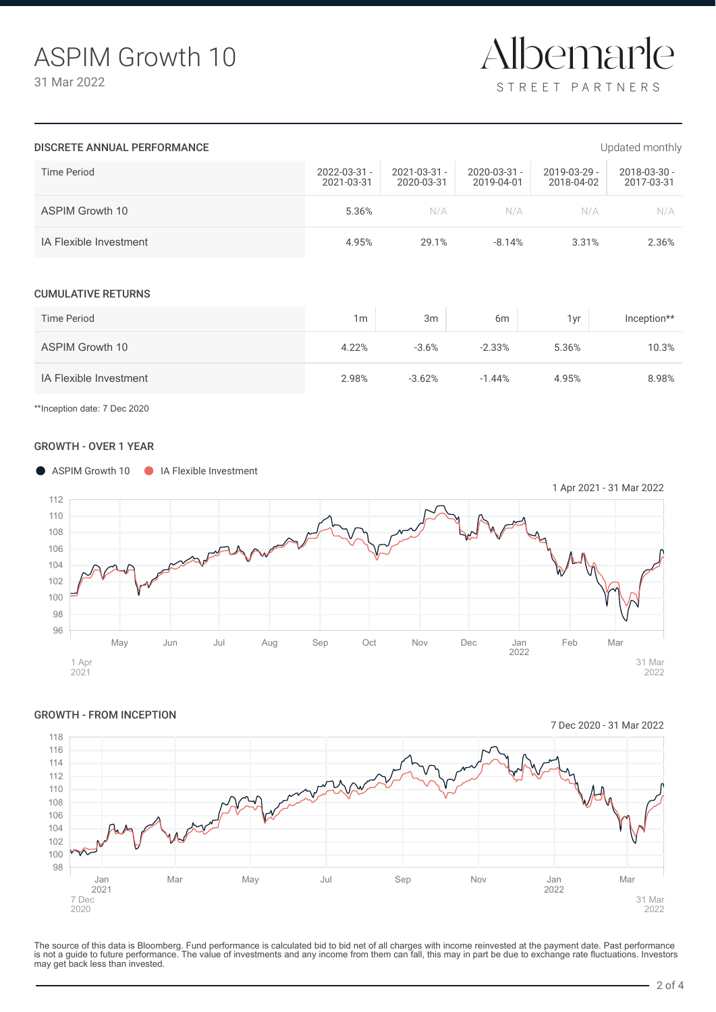

#### DISCRETE ANNUAL PERFORMANCE **EXECUTE ANNUAL PERFORMANCE EXECUTE ANNUAL PERFORMANCE**

| Time Period                   | 2022-03-31 -<br>2021-03-31 | 2021-03-31 -<br>2020-03-31 | 2020-03-31 -<br>2019-04-01 | 2019-03-29 -<br>2018-04-02 | 2018-03-30 -<br>2017-03-31 |
|-------------------------------|----------------------------|----------------------------|----------------------------|----------------------------|----------------------------|
| <b>ASPIM Growth 10</b>        | 5.36%                      | N/A                        | N/A                        | N/A                        | N/A                        |
| <b>IA Flexible Investment</b> | 4.95%                      | 29.1%                      | $-8.14%$                   | 3.31%                      | 2.36%                      |
| <b>CUMULATIVE RETURNS</b>     |                            |                            |                            |                            |                            |
| Time Period                   | 1 <sub>m</sub>             | 3m                         | 6m                         | 1yr                        | Inception**                |
| <b>ASPIM Growth 10</b>        | 4.22%                      | $-3.6%$                    | $-2.33%$                   | 5.36%                      | 10.3%                      |
| <b>IA Flexible Investment</b> | 2.98%                      | $-3.62%$                   | $-1.44%$                   | 4.95%                      | 8.98%                      |

\*\*Inception date: 7 Dec 2020

## GROWTH - OVER 1 YEAR





The source of this data is Bloomberg. Fund performance is calculated bid to bid net of all charges with income reinvested at the payment date. Past performance<br>is not a guide to future performance. The value of investments may get back less than invested.

# GROWTH - FROM INCEPTION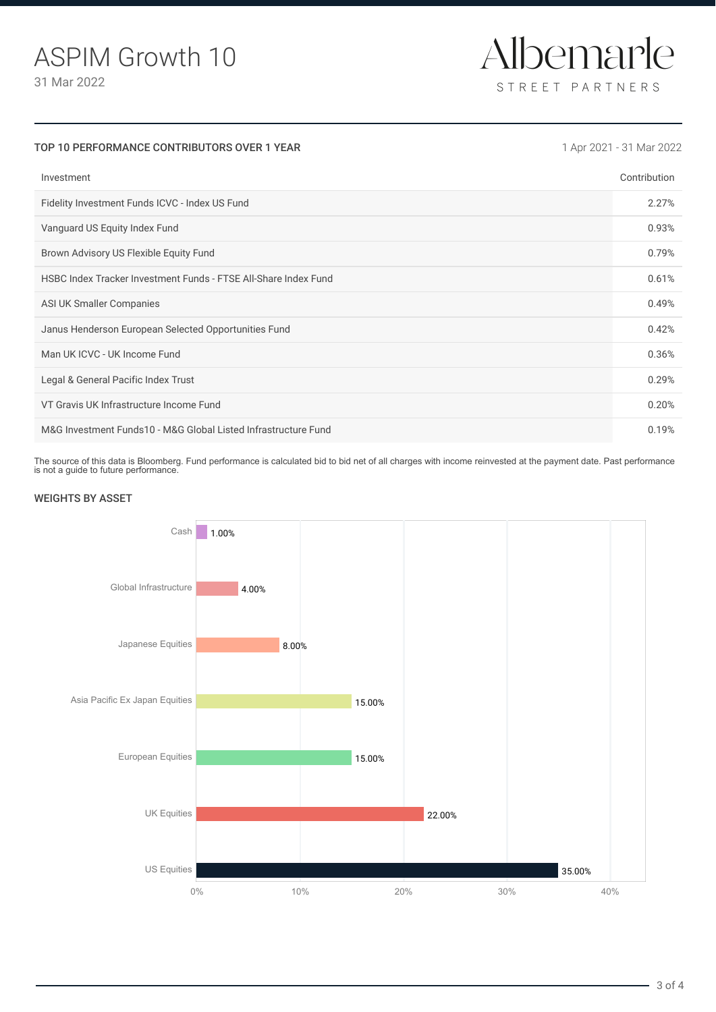

| TOP 10 PERFORMANCE CONTRIBUTORS OVER 1 YEAR                     | 1 Apr 2021 - 31 Mar 2022 |
|-----------------------------------------------------------------|--------------------------|
| Investment                                                      | Contribution             |
| Fidelity Investment Funds ICVC - Index US Fund                  | 2.27%                    |
| Vanguard US Equity Index Fund                                   | 0.93%                    |
| Brown Advisory US Flexible Equity Fund                          | 0.79%                    |
| HSBC Index Tracker Investment Funds - FTSE All-Share Index Fund | 0.61%                    |
| ASI UK Smaller Companies                                        | 0.49%                    |
| Janus Henderson European Selected Opportunities Fund            | 0.42%                    |
| Man UK ICVC - UK Income Fund                                    | 0.36%                    |
| Legal & General Pacific Index Trust                             | 0.29%                    |
| VT Gravis UK Infrastructure Income Fund                         | 0.20%                    |
| M&G Investment Funds10 - M&G Global Listed Infrastructure Fund  | 0.19%                    |

The source of this data is Bloomberg. Fund performance is calculated bid to bid net of all charges with income reinvested at the payment date. Past performance is not a guide to future performance.

# WEIGHTS BY ASSET